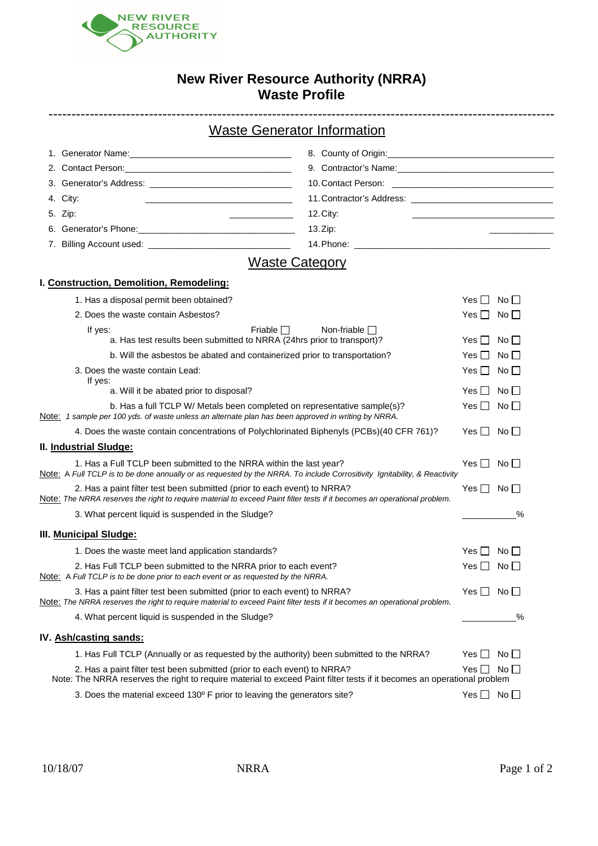

## **New River Resource Authority (NRRA) Waste Profile**

---------------------------------------------------------------------------------------------------------------

| <b>Waste Generator Information</b> |  |
|------------------------------------|--|
|                                    |  |

| 4. City:<br><u> 1989 - Johann Stein, mars et al. (</u>    |                                                                                                       |
|-----------------------------------------------------------|-------------------------------------------------------------------------------------------------------|
| 5. Zip:<br><u>and the state of the state of the state</u> | 12.City:<br>the control of the control of the control of the control of the control of the control of |
|                                                           | $13.Z$ ip:                                                                                            |
|                                                           |                                                                                                       |

# Waste Category

### **I. Construction, Demolition, Remodeling:**

| 1. Has a disposal permit been obtained?                                                                                                                                                              | Yes                | $No \Box$                      |
|------------------------------------------------------------------------------------------------------------------------------------------------------------------------------------------------------|--------------------|--------------------------------|
| 2. Does the waste contain Asbestos?                                                                                                                                                                  | Yes $\Box$         | No $\Box$                      |
| Friable $\Box$<br>Non-friable $\Box$<br>If yes:<br>a. Has test results been submitted to NRRA (24hrs prior to transport)?                                                                            | Yes II             | No <sub>1</sub>                |
| b. Will the asbestos be abated and containerized prior to transportation?                                                                                                                            | $Yes \Box$         | $No \Box$                      |
| 3. Does the waste contain Lead:<br>If yes:                                                                                                                                                           | Yes II             | No <sub>1</sub>                |
| a. Will it be abated prior to disposal?                                                                                                                                                              | $Yes$ $\Box$       | $\overline{\mathsf{No}}\,\Box$ |
| b. Has a full TCLP W/ Metals been completed on representative sample(s)?<br>Note: 1 sample per 100 yds. of waste unless an alternate plan has been approved in writing by NRRA.                      | $Yes \Box$         | $No \Box$                      |
| 4. Does the waste contain concentrations of Polychlorinated Biphenyls (PCBs)(40 CFR 761)?                                                                                                            | $Yes \Box No \Box$ |                                |
| II. Industrial Sludge:                                                                                                                                                                               |                    |                                |
| 1. Has a Full TCLP been submitted to the NRRA within the last year?<br>Note: A Full TCLP is to be done annually or as requested by the NRRA. To include Corrositivity Ignitability, & Reactivity     | $Yes \Box$         | $No \Box$                      |
| 2. Has a paint filter test been submitted (prior to each event) to NRRA?<br>Note: The NRRA reserves the right to require material to exceed Paint filter tests if it becomes an operational problem. | Yes $\Box$         | No <sub>1</sub>                |
| 3. What percent liquid is suspended in the Sludge?                                                                                                                                                   |                    | $\%$                           |
| III. Municipal Sludge:                                                                                                                                                                               |                    |                                |
| 1. Does the waste meet land application standards?                                                                                                                                                   | $Yes \Box$         | No                             |
| 2. Has Full TCLP been submitted to the NRRA prior to each event?<br>Note: A Full TCLP is to be done prior to each event or as requested by the NRRA.                                                 | Yes II             | No <sub>1</sub>                |
| 3. Has a paint filter test been submitted (prior to each event) to NRRA?<br>Note: The NRRA reserves the right to require material to exceed Paint filter tests if it becomes an operational problem. | Yes $\Box$         | $No \Box$                      |
| 4. What percent liquid is suspended in the Sludge?                                                                                                                                                   |                    | $\%$                           |
| IV. Ash/casting sands:                                                                                                                                                                               |                    |                                |
| 1. Has Full TCLP (Annually or as requested by the authority) been submitted to the NRRA?                                                                                                             | Yes ∐              | No <sub>1</sub>                |
| 2. Has a paint filter test been submitted (prior to each event) to NRRA?<br>Note: The NRRA reserves the right to require material to exceed Paint filter tests if it becomes an operational problem  | Yes $\Box$         | No <sub>1</sub>                |
| 3. Does the material exceed 130° F prior to leaving the generators site?                                                                                                                             | $Yes$ $\Box$       | No                             |